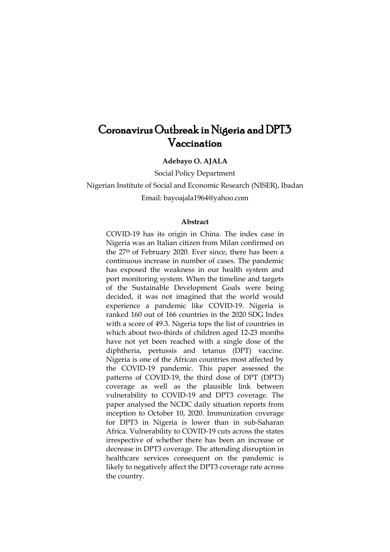# Coronavirus Outbreak in Nigeria and DPT3 Vaccination

**Adebayo O. AJALA**

Social Policy Department

Nigerian Institute of Social and Economic Research (NISER), Ibadan Email: bayoajala1964@yahoo.com

#### **Abstract**

COVID-19 has its origin in China. The index case in Nigeria was an Italian citizen from Milan confirmed on the 27th of February 2020. Ever since, there has been a continuous increase in number of cases. The pandemic has exposed the weakness in our health system and port monitoring system. When the timeline and targets of the Sustainable Development Goals were being decided, it was not imagined that the world would experience a pandemic like COVID-19. Nigeria is ranked 160 out of 166 countries in the 2020 SDG Index with a score of 49.3. Nigeria tops the list of countries in which about two-thirds of children aged 12-23 months have not yet been reached with a single dose of the diphtheria, pertussis and tetanus (DPT) vaccine. Nigeria is one of the African countries most affected by the COVID-19 pandemic. This paper assessed the patterns of COVID-19, the third dose of DPT (DPT3) coverage as well as the plausible link between vulnerability to COVID-19 and DPT3 coverage. The paper analysed the NCDC daily situation reports from inception to October 10, 2020. Immunization coverage for DPT3 in Nigeria is lower than in sub-Saharan Africa. Vulnerability to COVID-19 cuts across the states irrespective of whether there has been an increase or decrease in DPT3 coverage. The attending disruption in healthcare services consequent on the pandemic is likely to negatively affect the DPT3 coverage rate across the country.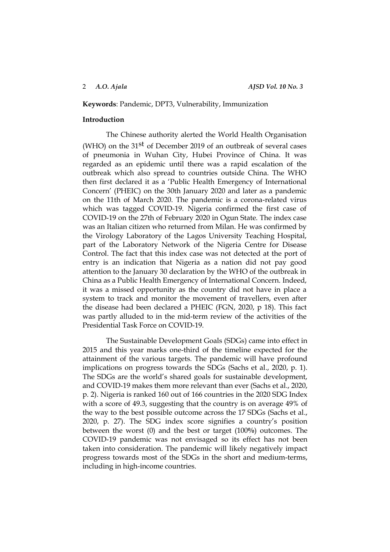#### **Keywords**: Pandemic, DPT3, Vulnerability, Immunization

#### **Introduction**

The Chinese authority alerted the World Health Organisation (WHO) on the 31<sup>st</sup> of December 2019 of an outbreak of several cases of pneumonia in Wuhan City, Hubei Province of China. It was regarded as an epidemic until there was a rapid escalation of the outbreak which also spread to countries outside China. The WHO then first declared it as a 'Public Health Emergency of International Concern' (PHEIC) on the 30th January 2020 and later as a pandemic on the 11th of March 2020. The pandemic is a corona-related virus which was tagged COVID-19. Nigeria confirmed the first case of COVID-19 on the 27th of February 2020 in Ogun State. The index case was an Italian citizen who returned from Milan. He was confirmed by the Virology Laboratory of the Lagos University Teaching Hospital, part of the Laboratory Network of the Nigeria Centre for Disease Control. The fact that this index case was not detected at the port of entry is an indication that Nigeria as a nation did not pay good attention to the January 30 declaration by the WHO of the outbreak in China as a Public Health Emergency of International Concern. Indeed, it was a missed opportunity as the country did not have in place a system to track and monitor the movement of travellers, even after the disease had been declared a PHEIC (FGN, 2020, p 18). This fact was partly alluded to in the mid-term review of the activities of the Presidential Task Force on COVID-19.

The Sustainable Development Goals (SDGs) came into effect in 2015 and this year marks one-third of the timeline expected for the attainment of the various targets. The pandemic will have profound implications on progress towards the SDGs (Sachs et al., 2020, p. 1). The SDGs are the world's shared goals for sustainable development, and COVID‑19 makes them more relevant than ever (Sachs et al., 2020, p. 2). Nigeria is ranked 160 out of 166 countries in the 2020 SDG Index with a score of 49.3, suggesting that the country is on average 49% of the way to the best possible outcome across the 17 SDGs (Sachs et al., 2020, p. 27). The SDG index score signifies a country's position between the worst (0) and the best or target (100**%**) outcomes. The COVID-19 pandemic was not envisaged so its effect has not been taken into consideration. The pandemic will likely negatively impact progress towards most of the SDGs in the short and medium-terms, including in high-income countries.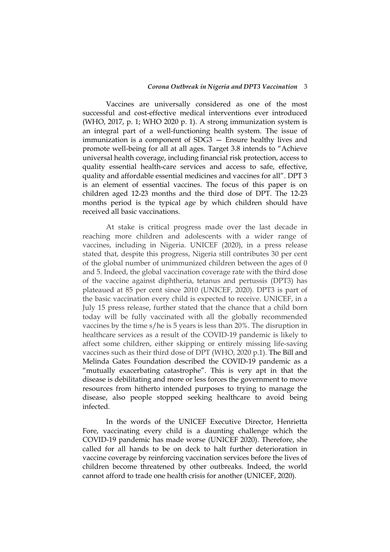Vaccines are universally considered as one of the most successful and cost-effective medical interventions ever introduced (WHO, 2017, p. 1; WHO 2020 p. 1). A strong immunization system is an integral part of a well-functioning health system. The issue of immunization is a component of SDG3 — Ensure healthy lives and promote well-being for all at all ages. Target 3.8 intends to "Achieve universal health coverage, including financial risk protection, access to quality essential health-care services and access to safe, effective, quality and affordable essential medicines and vaccines for all". DPT 3 is an element of essential vaccines. The focus of this paper is on children aged 12-23 months and the third dose of DPT. The 12-23 months period is the typical age by which children should have received all basic vaccinations.

At stake is critical progress made over the last decade in reaching more children and adolescents with a wider range of vaccines, including in Nigeria. UNICEF (2020), in a press release stated that, despite this progress, Nigeria still contributes 30 per cent of the global number of unimmunized children between the ages of 0 and 5. Indeed, the global vaccination coverage rate with the third dose of the vaccine against diphtheria, tetanus and pertussis (DPT3) has plateaued at 85 per cent since 2010 (UNICEF, 2020). DPT3 is part of the basic vaccination every child is expected to receive. UNICEF, in a July 15 press release, further stated that the chance that a child born today will be fully vaccinated with all the globally recommended vaccines by the time s/he is 5 years is less than 20%. The disruption in healthcare services as a result of the COVID-19 pandemic is likely to affect some children, either skipping or entirely missing life-saving vaccines such as their third dose of DPT (WHO, 2020 p.1). The Bill and Melinda Gates Foundation described the COVID-19 pandemic as a "mutually exacerbating catastrophe". This is very apt in that the disease is debilitating and more or less forces the government to move resources from hitherto intended purposes to trying to manage the disease, also people stopped seeking healthcare to avoid being infected.

In the words of the UNICEF Executive Director, Henrietta Fore, vaccinating every child is a daunting challenge which the COVID-19 pandemic has made worse (UNICEF 2020). Therefore, she called for all hands to be on deck to halt further deterioration in vaccine coverage by reinforcing vaccination services before the lives of children become threatened by other outbreaks. Indeed, the world cannot afford to trade one health crisis for another (UNICEF, 2020).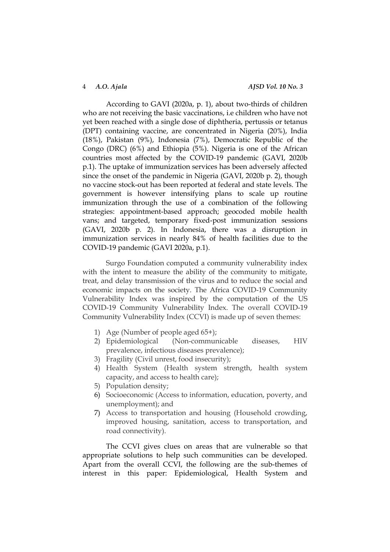According to GAVI (2020a, p. 1), about two-thirds of children who are not receiving the basic vaccinations, i.e children who have not yet been reached with a single dose of diphtheria, pertussis or tetanus (DPT) containing vaccine, are concentrated in Nigeria (20%), India (18%), Pakistan (9%), Indonesia (7%), Democratic Republic of the Congo (DRC) (6%) and Ethiopia (5%). Nigeria is one of the African countries most affected by the COVID-19 pandemic (GAVI, 2020b p.1). The uptake of immunization services has been adversely affected since the onset of the pandemic in Nigeria (GAVI, 2020b p. 2), though no vaccine stock-out has been reported at federal and state levels. The government is however intensifying plans to scale up routine immunization through the use of a combination of the following strategies: appointment-based approach; geocoded mobile health vans; and targeted, temporary fixed-post immunization sessions (GAVI, 2020b p. 2). In Indonesia, there was a disruption in immunization services in nearly 84% of health facilities due to the COVID-19 pandemic (GAVI 2020a, p.1).

Surgo Foundation computed a community vulnerability index with the intent to measure the ability of the community to mitigate, treat, and delay transmission of the virus and to reduce the social and economic impacts on the society. The Africa COVID-19 Community Vulnerability Index was inspired by the computation of the US COVID-19 Community Vulnerability Index. The overall COVID-19 Community Vulnerability Index (CCVI) is made up of seven themes:

- 1) Age (Number of people aged 65+);
- 2) Epidemiological (Non-communicable diseases, HIV prevalence, infectious diseases prevalence);
- 3) Fragility (Civil unrest, food insecurity);
- 4) Health System (Health system strength, health system capacity, and access to health care);
- 5) Population density;
- 6) Socioeconomic (Access to information, education, poverty, and unemployment); and
- 7) Access to transportation and housing (Household crowding, improved housing, sanitation, access to transportation, and road connectivity).

The CCVI gives clues on areas that are vulnerable so that appropriate solutions to help such communities can be developed. Apart from the overall CCVI, the following are the sub-themes of interest in this paper: Epidemiological, Health System and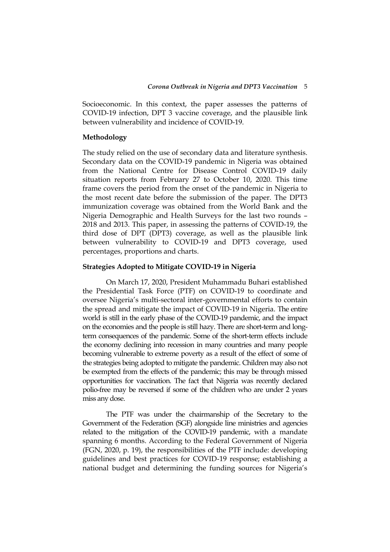Socioeconomic. In this context, the paper assesses the patterns of COVID-19 infection, DPT 3 vaccine coverage, and the plausible link between vulnerability and incidence of COVID-19.

#### **Methodology**

The study relied on the use of secondary data and literature synthesis. Secondary data on the COVID-19 pandemic in Nigeria was obtained from the National Centre for Disease Control COVID-19 daily situation reports from February 27 to October 10, 2020. This time frame covers the period from the onset of the pandemic in Nigeria to the most recent date before the submission of the paper. The DPT3 immunization coverage was obtained from the World Bank and the Nigeria Demographic and Health Surveys for the last two rounds – 2018 and 2013. This paper, in assessing the patterns of COVID-19, the third dose of DPT (DPT3) coverage, as well as the plausible link between vulnerability to COVID-19 and DPT3 coverage, used percentages, proportions and charts.

#### **Strategies Adopted to Mitigate COVID-19 in Nigeria**

On March 17, 2020, President Muhammadu Buhari established the Presidential Task Force (PTF) on COVID-19 to coordinate and oversee Nigeria's multi-sectoral inter-governmental efforts to contain the spread and mitigate the impact of COVID-19 in Nigeria. The entire world is still in the early phase of the COVID-19 pandemic, and the impact on the economies and the people is still hazy. There are short-term and longterm consequences of the pandemic. Some of the short-term effects include the economy declining into recession in many countries and many people becoming vulnerable to extreme poverty as a result of the effect of some of the strategies being adopted to mitigate the pandemic. Children may also not be exempted from the effects of the pandemic; this may be through missed opportunities for vaccination. The fact that Nigeria was recently declared polio-free may be reversed if some of the children who are under 2 years miss any dose.

The PTF was under the chairmanship of the Secretary to the Government of the Federation (SGF) alongside line ministries and agencies related to the mitigation of the COVID-19 pandemic, with a mandate spanning 6 months. According to the Federal Government of Nigeria (FGN, 2020, p. 19), the responsibilities of the PTF include: developing guidelines and best practices for COVID-19 response; establishing a national budget and determining the funding sources for Nigeria's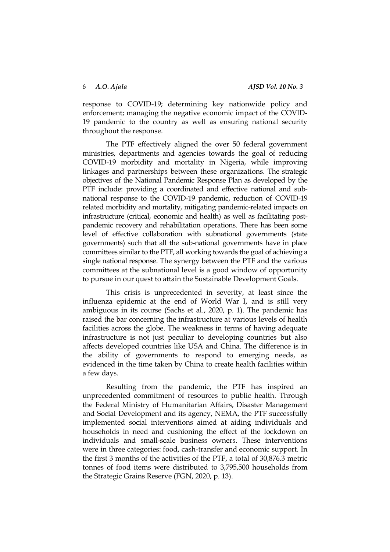response to COVID-19; determining key nationwide policy and enforcement; managing the negative economic impact of the COVID-19 pandemic to the country as well as ensuring national security throughout the response.

The PTF effectively aligned the over 50 federal government ministries, departments and agencies towards the goal of reducing COVID-19 morbidity and mortality in Nigeria, while improving linkages and partnerships between these organizations. The strategic objectives of the National Pandemic Response Plan as developed by the PTF include: providing a coordinated and effective national and subnational response to the COVID-19 pandemic, reduction of COVID-19 related morbidity and mortality, mitigating pandemic-related impacts on infrastructure (critical, economic and health) as well as facilitating postpandemic recovery and rehabilitation operations. There has been some level of effective collaboration with subnational governments (state governments) such that all the sub-national governments have in place committees similar to the PTF, all working towards the goal of achieving a single national response. The synergy between the PTF and the various committees at the subnational level is a good window of opportunity to pursue in our quest to attain the Sustainable Development Goals.

This crisis is unprecedented in severity, at least since the influenza epidemic at the end of World War I, and is still very ambiguous in its course (Sachs et al., 2020, p. 1). The pandemic has raised the bar concerning the infrastructure at various levels of health facilities across the globe. The weakness in terms of having adequate infrastructure is not just peculiar to developing countries but also affects developed countries like USA and China. The difference is in the ability of governments to respond to emerging needs, as evidenced in the time taken by China to create health facilities within a few days.

Resulting from the pandemic, the PTF has inspired an unprecedented commitment of resources to public health. Through the Federal Ministry of Humanitarian Affairs, Disaster Management and Social Development and its agency, NEMA, the PTF successfully implemented social interventions aimed at aiding individuals and households in need and cushioning the effect of the lockdown on individuals and small-scale business owners. These interventions were in three categories: food, cash-transfer and economic support. In the first 3 months of the activities of the PTF, a total of 30,876.3 metric tonnes of food items were distributed to 3,795,500 households from the Strategic Grains Reserve (FGN, 2020, p. 13).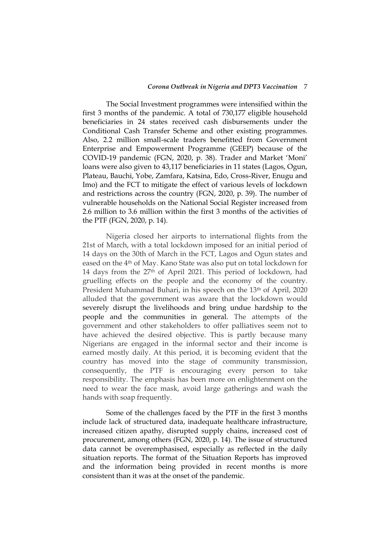The Social Investment programmes were intensified within the first 3 months of the pandemic. A total of 730,177 eligible household beneficiaries in 24 states received cash disbursements under the Conditional Cash Transfer Scheme and other existing programmes. Also, 2.2 million small-scale traders benefitted from Government Enterprise and Empowerment Programme (GEEP) because of the COVID-19 pandemic (FGN, 2020, p. 38). Trader and Market ‗Moni' loans were also given to 43,117 beneficiaries in 11 states (Lagos, Ogun, Plateau, Bauchi, Yobe, Zamfara, Katsina, Edo, Cross-River, Enugu and Imo) and the FCT to mitigate the effect of various levels of lockdown and restrictions across the country (FGN, 2020, p. 39). The number of vulnerable households on the National Social Register increased from 2.6 million to 3.6 million within the first 3 months of the activities of the PTF (FGN, 2020, p. 14).

Nigeria closed her airports to international flights from the 21st of March, with a total lockdown imposed for an initial period of 14 days on the 30th of March in the FCT, Lagos and Ogun states and eased on the 4th of May. Kano State was also put on total lockdown for 14 days from the 27th of April 2021. This period of lockdown, had gruelling effects on the people and the economy of the country. President Muhammad Buhari, in his speech on the 13<sup>th</sup> of April, 2020 alluded that the government was aware that the lockdown would severely disrupt the livelihoods and bring undue hardship to the people and the communities in general. The attempts of the government and other stakeholders to offer palliatives seem not to have achieved the desired objective. This is partly because many Nigerians are engaged in the informal sector and their income is earned mostly daily. At this period, it is becoming evident that the country has moved into the stage of community transmission, consequently, the PTF is encouraging every person to take responsibility. The emphasis has been more on enlightenment on the need to wear the face mask, avoid large gatherings and wash the hands with soap frequently.

Some of the challenges faced by the PTF in the first 3 months include lack of structured data, inadequate healthcare infrastructure, increased citizen apathy, disrupted supply chains, increased cost of procurement, among others (FGN, 2020, p. 14). The issue of structured data cannot be overemphasised, especially as reflected in the daily situation reports. The format of the Situation Reports has improved and the information being provided in recent months is more consistent than it was at the onset of the pandemic.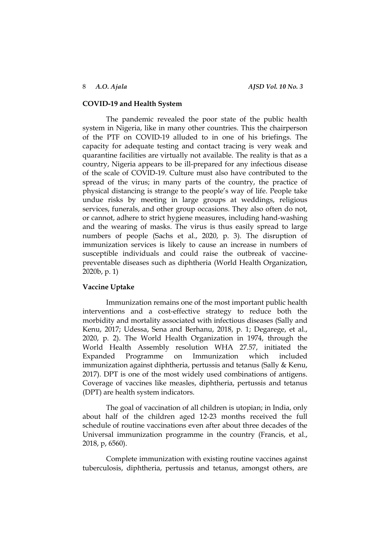### **COVID-19 and Health System**

The pandemic revealed the poor state of the public health system in Nigeria, like in many other countries. This the chairperson of the PTF on COVID-19 alluded to in one of his briefings. The capacity for adequate testing and contact tracing is very weak and quarantine facilities are virtually not available. The reality is that as a country, Nigeria appears to be ill-prepared for any infectious disease of the scale of COVID-19. Culture must also have contributed to the spread of the virus; in many parts of the country, the practice of physical distancing is strange to the people's way of life. People take undue risks by meeting in large groups at weddings, religious services, funerals, and other group occasions. They also often do not, or cannot, adhere to strict hygiene measures, including hand-washing and the wearing of masks. The virus is thus easily spread to large numbers of people (Sachs et al., 2020, p. 3). The disruption of immunization services is likely to cause an increase in numbers of susceptible individuals and could raise the outbreak of vaccinepreventable diseases such as diphtheria (World Health Organization, 2020b, p. 1)

#### **Vaccine Uptake**

Immunization remains one of the most important public health interventions and a cost-effective strategy to reduce both the morbidity and mortality associated with infectious diseases (Sally and Kenu, 2017; Udessa, Sena and Berhanu, 2018, p. 1; Degarege, et al., 2020, p. 2). The World Health Organization in 1974, through the World Health Assembly resolution WHA 27.57, initiated the Expanded Programme on Immunization which included immunization against diphtheria, pertussis and tetanus (Sally & Kenu, 2017). DPT is one of the most widely used combinations of antigens. Coverage of vaccines like measles, diphtheria, pertussis and tetanus (DPT) are health system indicators.

The goal of vaccination of all children is utopian; in India, only about half of the children aged 12-23 months received the full schedule of routine vaccinations even after about three decades of the Universal immunization programme in the country (Francis, et al., 2018, p, 6560).

Complete immunization with existing routine vaccines against tuberculosis, diphtheria, pertussis and tetanus, amongst others, are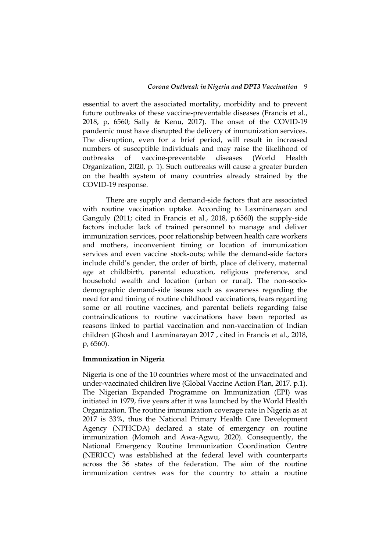essential to avert the associated mortality, morbidity and to prevent future outbreaks of these vaccine-preventable diseases (Francis et al., 2018, p, 6560; Sally & Kenu, 2017). The onset of the COVID-19 pandemic must have disrupted the delivery of immunization services. The disruption, even for a brief period, will result in increased numbers of susceptible individuals and may raise the likelihood of outbreaks of vaccine-preventable diseases (World Health Organization, 2020, p. 1). Such outbreaks will cause a greater burden on the health system of many countries already strained by the COVID-19 response.

There are supply and demand-side factors that are associated with routine vaccination uptake. According to Laxminarayan and Ganguly (2011; cited in Francis et al., 2018, p.6560) the supply-side factors include: lack of trained personnel to manage and deliver immunization services, poor relationship between health care workers and mothers, inconvenient timing or location of immunization services and even vaccine stock-outs; while the demand-side factors include child's gender, the order of birth, place of delivery, maternal age at childbirth, parental education, religious preference, and household wealth and location (urban or rural). The non-sociodemographic demand-side issues such as awareness regarding the need for and timing of routine childhood vaccinations, fears regarding some or all routine vaccines, and parental beliefs regarding false contraindications to routine vaccinations have been reported as reasons linked to partial vaccination and non-vaccination of Indian children (Ghosh and Laxminarayan 2017 , cited in Francis et al., 2018, p, 6560).

#### **Immunization in Nigeria**

Nigeria is one of the 10 countries where most of the unvaccinated and under-vaccinated children live (Global Vaccine Action Plan, 2017. p.1). The Nigerian Expanded Programme on Immunization (EPI) was initiated in 1979, five years after it was launched by the World Health Organization. The routine immunization coverage rate in Nigeria as at 2017 is 33%, thus the National Primary Health Care Development Agency (NPHCDA) declared a state of emergency on routine immunization (Momoh and Awa-Agwu, 2020). Consequently, the National Emergency Routine Immunization Coordination Centre (NERICC) was established at the federal level with counterparts across the 36 states of the federation. The aim of the routine immunization centres was for the country to attain a routine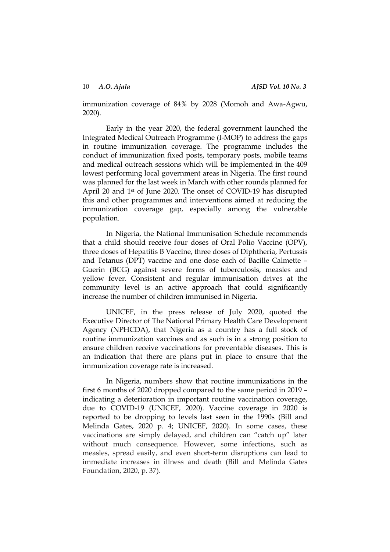immunization coverage of 84% by 2028 (Momoh and Awa-Agwu, 2020).

Early in the year 2020, the federal government launched the Integrated Medical Outreach Programme (I-MOP) to address the gaps in routine immunization coverage. The programme includes the conduct of immunization fixed posts, temporary posts, mobile teams and medical outreach sessions which will be implemented in the 409 lowest performing local government areas in Nigeria. The first round was planned for the last week in March with other rounds planned for April 20 and 1st of June 2020. The onset of COVID-19 has disrupted this and other programmes and interventions aimed at reducing the immunization coverage gap, especially among the vulnerable population.

In Nigeria, the National Immunisation Schedule recommends that a child should receive four doses of Oral Polio Vaccine (OPV), three doses of Hepatitis B Vaccine, three doses of Diphtheria, Pertussis and Tetanus (DPT) vaccine and one dose each of Bacille Calmette – Guerin (BCG) against severe forms of tuberculosis, measles and yellow fever. Consistent and regular immunisation drives at the community level is an active approach that could significantly increase the number of children immunised in Nigeria.

UNICEF, in the press release of July 2020, quoted the Executive Director of The National Primary Health Care Development Agency (NPHCDA), that Nigeria as a country has a full stock of routine immunization vaccines and as such is in a strong position to ensure children receive vaccinations for preventable diseases. This is an indication that there are plans put in place to ensure that the immunization coverage rate is increased.

In Nigeria, numbers show that routine immunizations in the first 6 months of 2020 dropped compared to the same period in 2019 – indicating a deterioration in important routine vaccination coverage, due to COVID-19 (UNICEF, 2020). Vaccine coverage in 2020 is reported to be dropping to levels last seen in the 1990s (Bill and Melinda Gates, 2020 p. 4; UNICEF, 2020). In some cases, these vaccinations are simply delayed, and children can "catch up" later without much consequence. However, some infections, such as measles, spread easily, and even short-term disruptions can lead to immediate increases in illness and death (Bill and Melinda Gates Foundation, 2020, p. 37).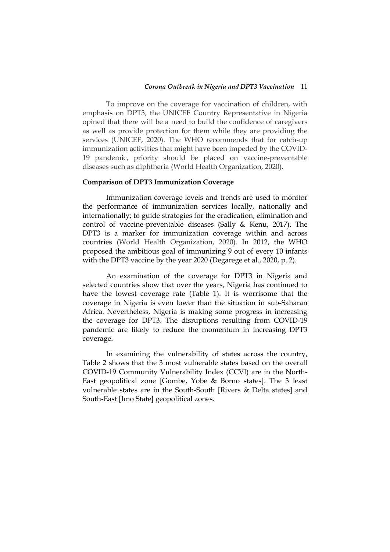#### *Corona Outbreak in Nigeria and DPT3 Vaccination* 11

To improve on the coverage for vaccination of children, with emphasis on DPT3, the UNICEF Country Representative in Nigeria opined that there will be a need to build the confidence of caregivers as well as provide protection for them while they are providing the services (UNICEF, 2020). The WHO recommends that for catch-up immunization activities that might have been impeded by the COVID-19 pandemic, priority should be placed on vaccine-preventable diseases such as diphtheria (World Health Organization, 2020).

### **Comparison of DPT3 Immunization Coverage**

Immunization coverage levels and trends are used to monitor the performance of immunization services locally, nationally and internationally; to guide strategies for the eradication, elimination and control of vaccine-preventable diseases (Sally & Kenu, 2017). The DPT3 is a marker for immunization coverage within and across countries (World Health Organization, 2020). In 2012, the WHO proposed the ambitious goal of immunizing 9 out of every 10 infants with the DPT3 vaccine by the year 2020 (Degarege et al., 2020, p. 2).

An examination of the coverage for DPT3 in Nigeria and selected countries show that over the years, Nigeria has continued to have the lowest coverage rate (Table 1). It is worrisome that the coverage in Nigeria is even lower than the situation in sub-Saharan Africa. Nevertheless, Nigeria is making some progress in increasing the coverage for DPT3. The disruptions resulting from COVID-19 pandemic are likely to reduce the momentum in increasing DPT3 coverage.

In examining the vulnerability of states across the country, Table 2 shows that the 3 most vulnerable states based on the overall COVID-19 Community Vulnerability Index (CCVI) are in the North-East geopolitical zone [Gombe, Yobe & Borno states]. The 3 least vulnerable states are in the South-South [Rivers & Delta states] and South-East [Imo State] geopolitical zones.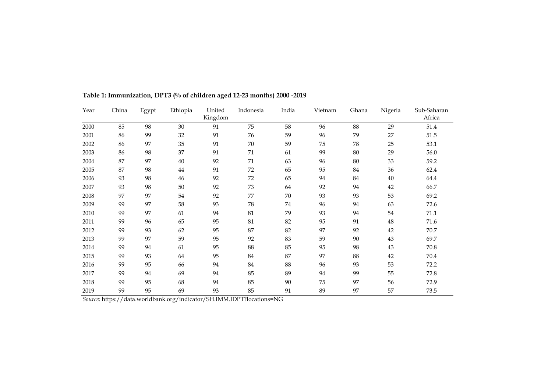| Year | China | Egypt | Ethiopia | United<br>Kingdom | Indonesia | India  | Vietnam | Ghana | Nigeria | Sub-Saharan<br>Africa |
|------|-------|-------|----------|-------------------|-----------|--------|---------|-------|---------|-----------------------|
| 2000 | 85    | 98    | 30       | 91                | 75        | 58     | 96      | 88    | 29      | 51.4                  |
| 2001 | 86    | 99    | 32       | 91                | 76        | 59     | 96      | 79    | 27      | 51.5                  |
| 2002 | 86    | 97    | 35       | 91                | 70        | 59     | 75      | 78    | 25      | 53.1                  |
| 2003 | 86    | 98    | 37       | 91                | 71        | 61     | 99      | 80    | 29      | 56.0                  |
| 2004 | 87    | 97    | 40       | 92                | 71        | 63     | 96      | 80    | 33      | 59.2                  |
| 2005 | 87    | 98    | 44       | 91                | 72        | 65     | 95      | 84    | 36      | 62.4                  |
| 2006 | 93    | 98    | 46       | 92                | 72        | 65     | 94      | 84    | $40\,$  | 64.4                  |
| 2007 | 93    | 98    | 50       | 92                | 73        | 64     | 92      | 94    | 42      | 66.7                  |
| 2008 | 97    | 97    | 54       | 92                | 77        | 70     | 93      | 93    | 53      | 69.2                  |
| 2009 | 99    | 97    | 58       | 93                | 78        | 74     | 96      | 94    | 63      | 72.6                  |
| 2010 | 99    | 97    | 61       | 94                | 81        | 79     | 93      | 94    | 54      | 71.1                  |
| 2011 | 99    | 96    | 65       | 95                | $81\,$    | 82     | 95      | 91    | $48\,$  | 71.6                  |
| 2012 | 99    | 93    | 62       | 95                | 87        | 82     | 97      | 92    | 42      | 70.7                  |
| 2013 | 99    | 97    | 59       | 95                | 92        | 83     | 59      | 90    | 43      | 69.7                  |
| 2014 | 99    | 94    | 61       | 95                | 88        | 85     | 95      | 98    | $43\,$  | 70.8                  |
| 2015 | 99    | 93    | 64       | 95                | 84        | 87     | 97      | 88    | 42      | $70.4\,$              |
| 2016 | 99    | 95    | 66       | 94                | 84        | 88     | 96      | 93    | 53      | 72.2                  |
| 2017 | 99    | 94    | 69       | 94                | 85        | 89     | 94      | 99    | 55      | 72.8                  |
| 2018 | 99    | 95    | 68       | 94                | 85        | $90\,$ | 75      | 97    | 56      | 72.9                  |
| 2019 | 99    | 95    | 69       | 93                | 85        | 91     | 89      | 97    | 57      | 73.5                  |

**Table 1: Immunization, DPT3 (% of children aged 12-23 months) 2000 -2019**

*Source:* https://data.worldbank.org/indicator/SH.IMM.IDPT?locations=NG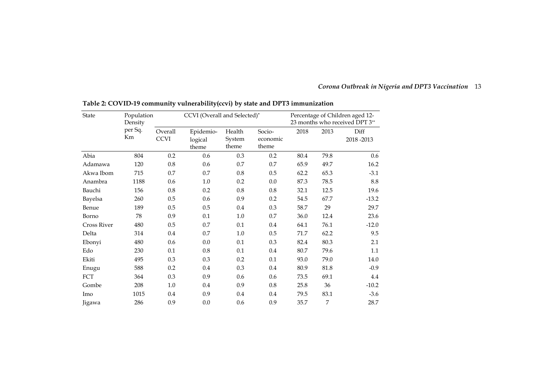| Corona Outbreak in Nigeria and DPT3 Vaccination 13 |  |
|----------------------------------------------------|--|
|----------------------------------------------------|--|

| <b>State</b>       | Population<br>Density |             | CCVI (Overall and Selected)* |        | Percentage of Children aged 12-<br>23 months who received DPT 3** |      |      |           |
|--------------------|-----------------------|-------------|------------------------------|--------|-------------------------------------------------------------------|------|------|-----------|
|                    | per Sq.               | Overall     | Epidemio-                    | Health | Socio-                                                            | 2018 | 2013 | Diff      |
|                    | Km                    | <b>CCVI</b> | logical                      | System | economic                                                          |      |      | 2018-2013 |
|                    |                       |             | theme                        | theme  | theme                                                             |      |      |           |
| Abia               | 804                   | 0.2         | 0.6                          | 0.3    | 0.2                                                               | 80.4 | 79.8 | 0.6       |
| Adamawa            | 120                   | 0.8         | 0.6                          | 0.7    | 0.7                                                               | 65.9 | 49.7 | 16.2      |
| Akwa Ibom          | 715                   | 0.7         | 0.7                          | 0.8    | 0.5                                                               | 62.2 | 65.3 | $-3.1$    |
| Anambra            | 1188                  | 0.6         | 1.0                          | 0.2    | 0.0                                                               | 87.3 | 78.5 | 8.8       |
| Bauchi             | 156                   | 0.8         | 0.2                          | 0.8    | 0.8                                                               | 32.1 | 12.5 | 19.6      |
| Bayelsa            | 260                   | 0.5         | 0.6                          | 0.9    | 0.2                                                               | 54.5 | 67.7 | $-13.2$   |
| Benue              | 189                   | 0.5         | 0.5                          | 0.4    | 0.3                                                               | 58.7 | 29   | 29.7      |
| Borno              | 78                    | 0.9         | 0.1                          | 1.0    | 0.7                                                               | 36.0 | 12.4 | 23.6      |
| <b>Cross River</b> | 480                   | 0.5         | 0.7                          | 0.1    | 0.4                                                               | 64.1 | 76.1 | $-12.0$   |
| Delta              | 314                   | 0.4         | 0.7                          | 1.0    | 0.5                                                               | 71.7 | 62.2 | 9.5       |
| Ebonyi             | 480                   | 0.6         | 0.0                          | 0.1    | 0.3                                                               | 82.4 | 80.3 | 2.1       |
| Edo                | 230                   | 0.1         | 0.8                          | 0.1    | 0.4                                                               | 80.7 | 79.6 | $1.1\,$   |
| Ekiti              | 495                   | 0.3         | 0.3                          | 0.2    | 0.1                                                               | 93.0 | 79.0 | 14.0      |
| Enugu              | 588                   | 0.2         | 0.4                          | 0.3    | $0.4\,$                                                           | 80.9 | 81.8 | $-0.9$    |
| FCT                | 364                   | 0.3         | 0.9                          | 0.6    | 0.6                                                               | 73.5 | 69.1 | 4.4       |
| Gombe              | 208                   | 1.0         | 0.4                          | 0.9    | 0.8                                                               | 25.8 | 36   | $-10.2$   |
| Imo                | 1015                  | 0.4         | 0.9                          | 0.4    | 0.4                                                               | 79.5 | 83.1 | $-3.6$    |
| Jigawa             | 286                   | 0.9         | 0.0                          | 0.6    | 0.9                                                               | 35.7 | 7    | 28.7      |

**Table 2: COVID-19 community vulnerability(ccvi) by state and DPT3 immunization**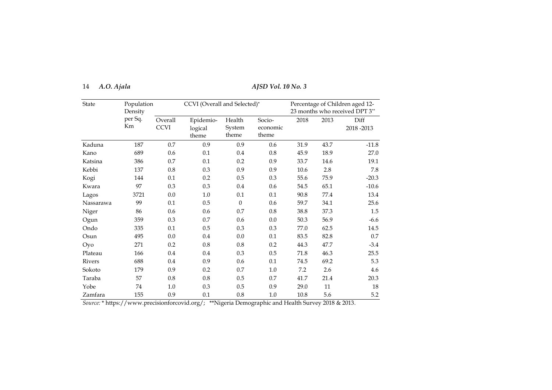| 14 | A.O. Ajala |
|----|------------|
|    |            |

## 14 *A.O. Ajala AJSD Vol. 10 No. 3*

| <b>State</b>  | Population<br>Density |                        | CCVI (Overall and Selected)*  |                           | Percentage of Children aged 12-<br>23 months who received DPT 3** |      |      |                   |
|---------------|-----------------------|------------------------|-------------------------------|---------------------------|-------------------------------------------------------------------|------|------|-------------------|
|               | per Sq.<br>Km         | Overall<br><b>CCVI</b> | Epidemio-<br>logical<br>theme | Health<br>System<br>theme | Socio-<br>economic<br>theme                                       | 2018 | 2013 | Diff<br>2018-2013 |
| Kaduna        | 187                   | 0.7                    | 0.9                           | 0.9                       | 0.6                                                               | 31.9 | 43.7 | $-11.8$           |
| Kano          | 689                   | 0.6                    | 0.1                           | 0.4                       | 0.8                                                               | 45.9 | 18.9 | 27.0              |
| Katsina       | 386                   | 0.7                    | 0.1                           | 0.2                       | 0.9                                                               | 33.7 | 14.6 | 19.1              |
| Kebbi         | 137                   | 0.8                    | 0.3                           | 0.9                       | 0.9                                                               | 10.6 | 2.8  | 7.8               |
| Kogi          | 144                   | 0.1                    | 0.2                           | 0.5                       | 0.3                                                               | 55.6 | 75.9 | $-20.3$           |
| Kwara         | 97                    | 0.3                    | $0.3\,$                       | $0.4\,$                   | 0.6                                                               | 54.5 | 65.1 | $-10.6$           |
| Lagos         | 3721                  | $0.0\,$                | 1.0                           | 0.1                       | $0.1\,$                                                           | 90.8 | 77.4 | 13.4              |
| Nassarawa     | 99                    | 0.1                    | 0.5                           | $\theta$                  | 0.6                                                               | 59.7 | 34.1 | 25.6              |
| Niger         | 86                    | 0.6                    | 0.6                           | 0.7                       | 0.8                                                               | 38.8 | 37.3 | 1.5               |
| Ogun          | 359                   | 0.3                    | 0.7                           | 0.6                       | 0.0                                                               | 50.3 | 56.9 | $-6.6$            |
| Ondo          | 335                   | 0.1                    | $0.5\,$                       | 0.3                       | 0.3                                                               | 77.0 | 62.5 | 14.5              |
| Osun          | 495                   | 0.0                    | 0.4                           | 0.0                       | $0.1\,$                                                           | 83.5 | 82.8 | 0.7               |
| Oyo           | 271                   | 0.2                    | 0.8                           | 0.8                       | 0.2                                                               | 44.3 | 47.7 | $-3.4$            |
| Plateau       | 166                   | 0.4                    | 0.4                           | 0.3                       | 0.5                                                               | 71.8 | 46.3 | 25.5              |
| <b>Rivers</b> | 688                   | 0.4                    | 0.9                           | 0.6                       | $0.1\,$                                                           | 74.5 | 69.2 | 5.3               |
| Sokoto        | 179                   | 0.9                    | 0.2                           | 0.7                       | 1.0                                                               | 7.2  | 2.6  | 4.6               |
| Taraba        | 57                    | 0.8                    | 0.8                           | 0.5                       | 0.7                                                               | 41.7 | 21.4 | 20.3              |
| Yobe          | 74                    | 1.0                    | 0.3                           | 0.5                       | 0.9                                                               | 29.0 | 11   | 18                |
| Zamfara       | 155                   | 0.9                    | 0.1                           | $0.8\,$                   | 1.0                                                               | 10.8 | 5.6  | 5.2               |

*Source:* \* [https://www.precisionforcovid.org/;](https://www.precisionforcovid.org/) \*\*Nigeria Demographic and Health Survey 2018 & 2013.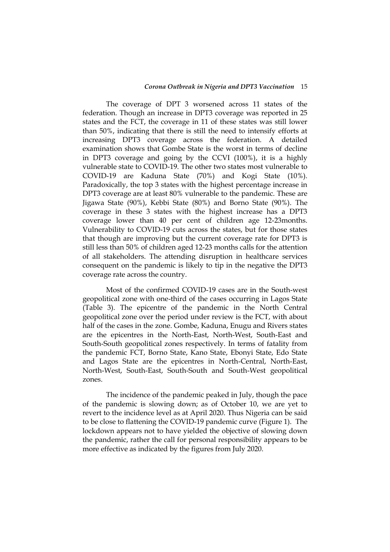#### *Corona Outbreak in Nigeria and DPT3 Vaccination* 15

The coverage of DPT 3 worsened across 11 states of the federation. Though an increase in DPT3 coverage was reported in 25 states and the FCT, the coverage in 11 of these states was still lower than 50%, indicating that there is still the need to intensify efforts at increasing DPT3 coverage across the federation. A detailed examination shows that Gombe State is the worst in terms of decline in DPT3 coverage and going by the CCVI (100%), it is a highly vulnerable state to COVID-19. The other two states most vulnerable to COVID-19 are Kaduna State (70%) and Kogi State (10%). Paradoxically, the top 3 states with the highest percentage increase in DPT3 coverage are at least 80% vulnerable to the pandemic. These are Jigawa State (90%), Kebbi State (80%) and Borno State (90%). The coverage in these 3 states with the highest increase has a DPT3 coverage lower than 40 per cent of children age 12-23months. Vulnerability to COVID-19 cuts across the states, but for those states that though are improving but the current coverage rate for DPT3 is still less than 50% of children aged 12-23 months calls for the attention of all stakeholders. The attending disruption in healthcare services consequent on the pandemic is likely to tip in the negative the DPT3 coverage rate across the country.

Most of the confirmed COVID-19 cases are in the South-west geopolitical zone with one-third of the cases occurring in Lagos State (Table 3). The epicentre of the pandemic in the North Central geopolitical zone over the period under review is the FCT, with about half of the cases in the zone. Gombe, Kaduna, Enugu and Rivers states are the epicentres in the North-East, North-West, South-East and South-South geopolitical zones respectively. In terms of fatality from the pandemic FCT, Borno State, Kano State, Ebonyi State, Edo State and Lagos State are the epicentres in North-Central, North-East, North-West, South-East, South-South and South-West geopolitical zones.

The incidence of the pandemic peaked in July, though the pace of the pandemic is slowing down; as of October 10, we are yet to revert to the incidence level as at April 2020. Thus Nigeria can be said to be close to flattening the COVID-19 pandemic curve (Figure 1). The lockdown appears not to have yielded the objective of slowing down the pandemic, rather the call for personal responsibility appears to be more effective as indicated by the figures from July 2020.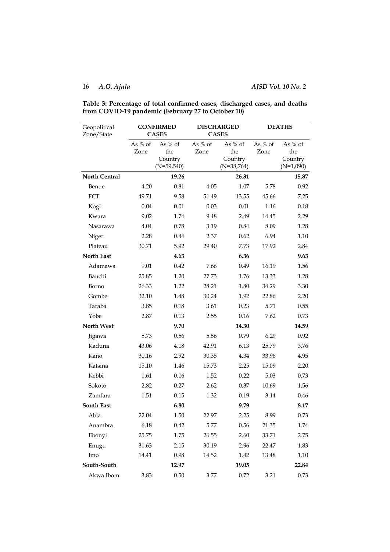| Geopolitical<br>Zone/State |                   | <b>CONFIRMED</b><br><b>CASES</b>            |                   | <b>DISCHARGED</b><br><b>CASES</b>           | <b>DEATHS</b>     |                                          |  |
|----------------------------|-------------------|---------------------------------------------|-------------------|---------------------------------------------|-------------------|------------------------------------------|--|
|                            | As $%$ of<br>Zone | As $%$ of<br>the<br>Country<br>$(N=59,540)$ | As $%$ of<br>Zone | As $%$ of<br>the<br>Country<br>$(N=38,764)$ | As $%$ of<br>Zone | As % of<br>the<br>Country<br>$(N=1,090)$ |  |
| <b>North Central</b>       |                   | 19.26                                       |                   | 26.31                                       |                   | 15.87                                    |  |
| Benue                      | 4.20              | 0.81                                        | 4.05              | 1.07                                        | 5.78              | 0.92                                     |  |
| FCT                        | 49.71             | 9.58                                        | 51.49             | 13.55                                       | 45.66             | 7.25                                     |  |
| Kogi                       | 0.04              | 0.01                                        | 0.03              | 0.01                                        | 1.16              | 0.18                                     |  |
| Kwara                      | 9.02              | 1.74                                        | 9.48              | 2.49                                        | 14.45             | 2.29                                     |  |
| Nasarawa                   | 4.04              | 0.78                                        | 3.19              | 0.84                                        | 8.09              | 1.28                                     |  |
| Niger                      | 2.28              | 0.44                                        | 2.37              | 0.62                                        | 6.94              | 1.10                                     |  |
| Plateau                    | 30.71             | 5.92                                        | 29.40             | 7.73                                        | 17.92             | 2.84                                     |  |
| <b>North East</b>          |                   | 4.63                                        |                   | 6.36                                        |                   | 9.63                                     |  |
| Adamawa                    | 9.01              | 0.42                                        | 7.66              | 0.49                                        | 16.19             | 1.56                                     |  |
| Bauchi                     | 25.85             | 1.20                                        | 27.73             | 1.76                                        | 13.33             | 1.28                                     |  |
| Borno                      | 26.33             | 1.22                                        | 28.21             | 1.80                                        | 34.29             | 3.30                                     |  |
| Gombe                      | 32.10             | 1.48                                        | 30.24             | 1.92                                        | 22.86             | 2.20                                     |  |
| Taraba                     | 3.85              | 0.18                                        | 3.61              | 0.23                                        | 5.71              | 0.55                                     |  |
| Yobe                       | 2.87              | 0.13                                        | 2.55              | 0.16                                        | 7.62              | 0.73                                     |  |
| <b>North West</b>          |                   | 9.70                                        |                   | 14.30                                       |                   | 14.59                                    |  |
| Jigawa                     | 5.73              | 0.56                                        | 5.56              | 0.79                                        | 6.29              | 0.92                                     |  |
| Kaduna                     | 43.06             | 4.18                                        | 42.91             | 6.13                                        | 25.79             | 3.76                                     |  |
| Kano                       | 30.16             | 2.92                                        | 30.35             | 4.34                                        | 33.96             | 4.95                                     |  |
| Katsina                    | 15.10             | 1.46                                        | 15.73             | 2.25                                        | 15.09             | 2.20                                     |  |
| Kebbi                      | 1.61              | 0.16                                        | 1.52              | 0.22                                        | 5.03              | 0.73                                     |  |
| Sokoto                     | 2.82              | 0.27                                        | 2.62              | 0.37                                        | 10.69             | 1.56                                     |  |
| Zamfara                    | 1.51              | 0.15                                        | 1.32              | 0.19                                        | 3.14              | 0.46                                     |  |
| <b>South East</b>          |                   | 6.80                                        |                   | 9.79                                        |                   | 8.17                                     |  |
| Abia                       | 22.04             | 1.50                                        | 22.97             | 2.25                                        | 8.99              | 0.73                                     |  |
| Anambra                    | 6.18              | 0.42                                        | 5.77              | 0.56                                        | 21.35             | 1.74                                     |  |
| Ebonyi                     | 25.75             | 1.75                                        | 26.55             | 2.60                                        | 33.71             | 2.75                                     |  |
| Enugu                      | 31.63             | 2.15                                        | 30.19             | 2.96                                        | 22.47             | 1.83                                     |  |
| Imo                        | 14.41             | 0.98                                        | 14.52             | 1.42                                        | 13.48             | 1.10                                     |  |
| South-South                |                   | 12.97                                       |                   | 19.05                                       |                   | 22.84                                    |  |
| Akwa Ibom                  | 3.83              | $0.50\,$                                    | 3.77              | 0.72                                        | 3.21              | 0.73                                     |  |

### **Table 3: Percentage of total confirmed cases, discharged cases, and deaths from COVID-19 pandemic (February 27 to October 10)**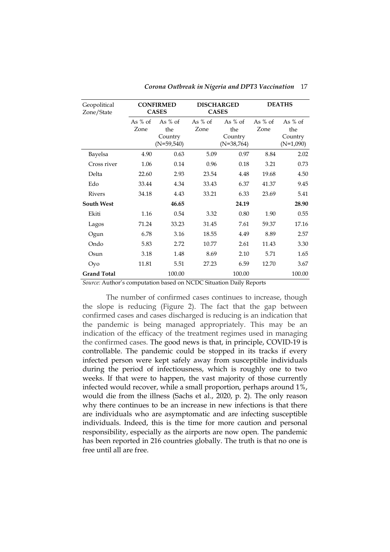| Geopolitical<br>Zone/State |                   | <b>CONFIRMED</b><br><b>CASES</b>            |                   | <b>DISCHARGED</b><br><b>CASES</b>           | <b>DEATHS</b>     |                                            |
|----------------------------|-------------------|---------------------------------------------|-------------------|---------------------------------------------|-------------------|--------------------------------------------|
|                            | As $%$ of<br>Zone | As $%$ of<br>the<br>Country<br>$(N=59,540)$ | As $%$ of<br>Zone | As $%$ of<br>the<br>Country<br>$(N=38,764)$ | As $%$ of<br>Zone | As $%$ of<br>the<br>Country<br>$(N=1,090)$ |
| Bayelsa                    | 4.90              | 0.63                                        | 5.09              | 0.97                                        | 8.84              | 2.02                                       |
| Cross river                | 1.06              | 0.14                                        | 0.96              | 0.18                                        | 3.21              | 0.73                                       |
| Delta                      | 22.60             | 2.93                                        | 23.54             | 4.48                                        | 19.68             | 4.50                                       |
| Edo                        | 33.44             | 4.34                                        | 33.43             | 6.37                                        | 41.37             | 9.45                                       |
| Rivers                     | 34.18             | 4.43                                        | 33.21             | 6.33                                        | 23.69             | 5.41                                       |
| <b>South West</b>          |                   | 46.65                                       |                   | 24.19                                       |                   | 28.90                                      |
| Ekiti                      | 1.16              | 0.54                                        | 3.32              | 0.80                                        | 1.90              | 0.55                                       |
| Lagos                      | 71.24             | 33.23                                       | 31.45             | 7.61                                        | 59.37             | 17.16                                      |
| Ogun                       | 6.78              | 3.16                                        | 18.55             | 4.49                                        | 8.89              | 2.57                                       |
| Ondo                       | 5.83              | 2.72                                        | 10.77             | 2.61                                        | 11.43             | 3.30                                       |
| Osun                       | 3.18              | 1.48                                        | 8.69              | 2.10                                        | 5.71              | 1.65                                       |
| Oyo                        | 11.81             | 5.51                                        | 27.23             | 6.59                                        | 12.70             | 3.67                                       |
| <b>Grand Total</b>         |                   | 100.00                                      |                   | 100.00                                      |                   | 100.00                                     |

*Corona Outbreak in Nigeria and DPT3 Vaccination* 17

*Source:* Author's computation based on NCDC Situation Daily Reports

The number of confirmed cases continues to increase, though the slope is reducing (Figure 2). The fact that the gap between confirmed cases and cases discharged is reducing is an indication that the pandemic is being managed appropriately. This may be an indication of the efficacy of the treatment regimes used in managing the confirmed cases. The good news is that, in principle, COVID-19 is controllable. The pandemic could be stopped in its tracks if every infected person were kept safely away from susceptible individuals during the period of infectiousness, which is roughly one to two weeks. If that were to happen, the vast majority of those currently infected would recover, while a small proportion, perhaps around 1%, would die from the illness (Sachs et al., 2020, p. 2). The only reason why there continues to be an increase in new infections is that there are individuals who are asymptomatic and are infecting susceptible individuals. Indeed, this is the time for more caution and personal responsibility, especially as the airports are now open. The pandemic has been reported in 216 countries globally. The truth is that no one is free until all are free.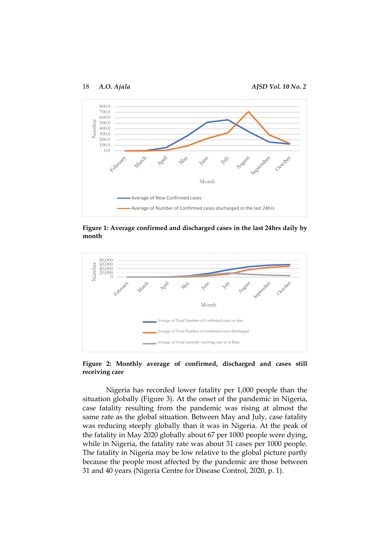18 *A.O. Ajala AJSD Vol. 10 No. 2*



**Figure 1: Average confirmed and discharged cases in the last 24hrs daily by month**



**Figure 2: Monthly average of confirmed, discharged and cases still receiving care**

Nigeria has recorded lower fatality per 1,000 people than the situation globally (Figure 3). At the onset of the pandemic in Nigeria, case fatality resulting from the pandemic was rising at almost the same rate as the global situation. Between May and July, case fatality was reducing steeply globally than it was in Nigeria. At the peak of the fatality in May 2020 globally about 67 per 1000 people were dying, while in Nigeria, the fatality rate was about 31 cases per 1000 people. The fatality in Nigeria may be low relative to the global picture partly because the people most affected by the pandemic are those between 31 and 40 years (Nigeria Centre for Disease Control, 2020, p. 1).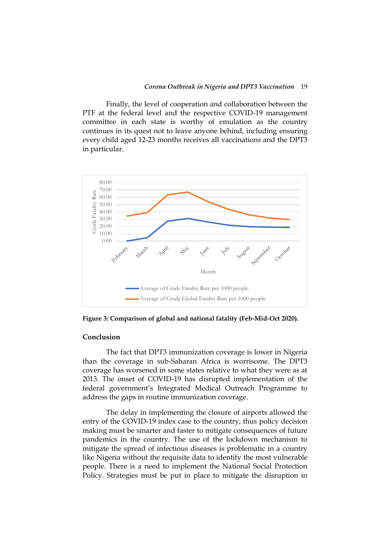Finally, the level of cooperation and collaboration between the PTF at the federal level and the respective COVID-19 management committee in each state is worthy of emulation as the country continues in its quest not to leave anyone behind, including ensuring every child aged 12-23 months receives all vaccinations and the DPT3 in particular.



**Figure 3: Comparison of global and national fatality (Feb-Mid-Oct 2020).**

#### **Conclusion**

The fact that DPT3 immunization coverage is lower in Nigeria than the coverage in sub-Saharan Africa is worrisome. The DPT3 coverage has worsened in some states relative to what they were as at 2013. The onset of COVID-19 has disrupted implementation of the federal government's Integrated Medical Outreach Programme to address the gaps in routine immunization coverage.

The delay in implementing the closure of airports allowed the entry of the COVID-19 index case to the country, thus policy decision making must be smarter and faster to mitigate consequences of future pandemics in the country. The use of the lockdown mechanism to mitigate the spread of infectious diseases is problematic in a country like Nigeria without the requisite data to identify the most vulnerable people. There is a need to implement the National Social Protection Policy. Strategies must be put in place to mitigate the disruption in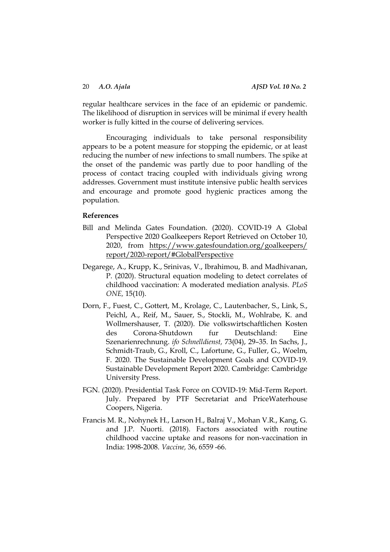regular healthcare services in the face of an epidemic or pandemic. The likelihood of disruption in services will be minimal if every health worker is fully kitted in the course of delivering services.

Encouraging individuals to take personal responsibility appears to be a potent measure for stopping the epidemic, or at least reducing the number of new infections to small numbers. The spike at the onset of the pandemic was partly due to poor handling of the process of contact tracing coupled with individuals giving wrong addresses. Government must institute intensive public health services and encourage and promote good hygienic practices among the population.

#### **References**

- Bill and Melinda Gates Foundation. (2020). COVID-19 A Global Perspective 2020 Goalkeepers Report Retrieved on October 10, 2020, from [https://www.gatesfoundation.org/goalkeepers/](https://www.gatesfoundation.org/goalkeepers/%20report/2020-report/#GlobalPerspective)  [report/2020-report/#GlobalPerspective](https://www.gatesfoundation.org/goalkeepers/%20report/2020-report/#GlobalPerspective)
- Degarege, A., Krupp, K., Srinivas, V., Ibrahimou, B. and Madhivanan, P. (2020). Structural equation modeling to detect correlates of childhood vaccination: A moderated mediation analysis. *PLoS ONE,* 15(10).
- Dorn, F., Fuest, C., Gottert, M., Krolage, C., Lautenbacher, S., Link, S., Peichl, A., Reif, M., Sauer, S., Stockli, M., Wohlrabe, K. and Wollmershauser, T. (2020). Die volkswirtschaftlichen Kosten des Corona-Shutdown fur Deutschland: Eine Szenarienrechnung. *ifo Schnelldienst,* 73(04), 29–35. In Sachs, J., Schmidt-Traub, G., Kroll, C., Lafortune, G., Fuller, G., Woelm, F. 2020. The Sustainable Development Goals and COVID-19. Sustainable Development Report 2020. Cambridge: Cambridge University Press.
- FGN. (2020). Presidential Task Force on COVID-19: Mid-Term Report. July. Prepared by PTF Secretariat and PriceWaterhouse Coopers, Nigeria.
- Francis M. R., Nohynek H., Larson H., Balraj V., Mohan V.R., Kang, G. and J.P. Nuorti. (2018). Factors associated with routine childhood vaccine uptake and reasons for non-vaccination in India: 1998-2008. *Vaccine,* 36, 6559 -66.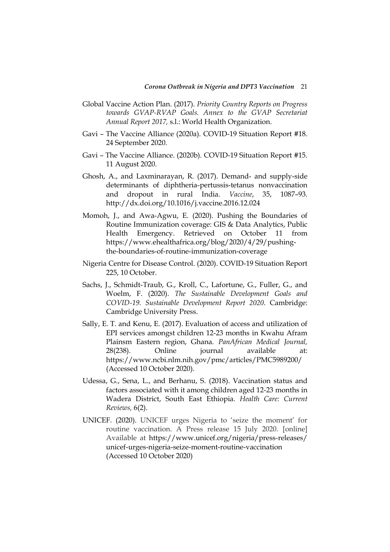- Global Vaccine Action Plan. (2017). *Priority Country Reports on Progress towards GVAP-RVAP Goals. Annex to the GVAP Secretariat Annual Report 2017,* s.l.: World Health Organization.
- Gavi The Vaccine Alliance (2020a). COVID-19 Situation Report #18. 24 September 2020.
- Gavi The Vaccine Alliance. (2020b). COVID-19 Situation Report #15. 11 August 2020.
- Ghosh, A., and Laxminarayan, R. (2017). Demand- and supply-side determinants of diphtheria-pertussis-tetanus nonvaccination and dropout in rural India. *Vaccine*, 35, 1087–93. <http://dx.doi.org/10.1016/j.vaccine.2016.12.024>
- Momoh, J., and Awa-Agwu, E. (2020). Pushing the Boundaries of Routine Immunization coverage: GIS & Data Analytics, Public Health Emergency. Retrieved on October 11 from [https://www.ehealthafrica.org/blog/2020/4/29/pushing](https://www.ehealthafrica.org/blog/2020/4/29/pushing-the-boundaries-of-routine-immunization-coverage)[the-boundaries-of-routine-immunization-coverage](https://www.ehealthafrica.org/blog/2020/4/29/pushing-the-boundaries-of-routine-immunization-coverage)
- Nigeria Centre for Disease Control. (2020). COVID-19 Situation Report 225, 10 October.
- Sachs, J., Schmidt-Traub, G., Kroll, C., Lafortune, G., Fuller, G., and Woelm, F. (2020). *The Sustainable Development Goals and COVID-19. Sustainable Development Report 2020*. Cambridge: Cambridge University Press.
- Sally, E. T. and Kenu, E. (2017). Evaluation of access and utilization of EPI services amongst children 12-23 months in Kwahu Afram Plainsm Eastern region, Ghana. *PanAfrican Medical Journal,*  28(238). Online journal available at: <https://www.ncbi.nlm.nih.gov/pmc/articles/PMC5989200/> (Accessed 10 October 2020).
- Udessa, G., Sena, L., and Berhanu, S. (2018). Vaccination status and factors associated with it among children aged 12-23 months in Wadera District, South East Ethiopia. *Health Care: Current Reviews,* 6(2).
- UNICEF. (2020). UNICEF urges Nigeria to 'seize the moment' for routine vaccination. A Press release 15 July 2020. [online] Available at [https://www.unicef.org/nigeria/press-releases/](https://www.unicef.org/nigeria/press-releases/%20unicef-urges-nigeria-seize-moment-routine-vaccination)  [unicef-urges-nigeria-seize-moment-routine-vaccination](https://www.unicef.org/nigeria/press-releases/%20unicef-urges-nigeria-seize-moment-routine-vaccination) (Accessed 10 October 2020)